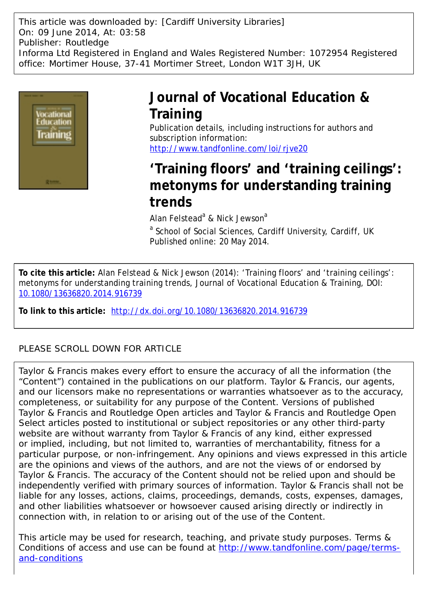This article was downloaded by: [Cardiff University Libraries] On: 09 June 2014, At: 03:58 Publisher: Routledge Informa Ltd Registered in England and Wales Registered Number: 1072954 Registered office: Mortimer House, 37-41 Mortimer Street, London W1T 3JH, UK



# **Journal of Vocational Education & Training**

Publication details, including instructions for authors and subscription information: <http://www.tandfonline.com/loi/rjve20>

# **'Training floors' and 'training ceilings': metonyms for understanding training trends**

Alan Felstead<sup>a</sup> & Nick Jewson<sup>a</sup>

<sup>a</sup> School of Social Sciences, Cardiff University, Cardiff, UK Published online: 20 May 2014.

**To cite this article:** Alan Felstead & Nick Jewson (2014): 'Training floors' and 'training ceilings': metonyms for understanding training trends, Journal of Vocational Education & Training, DOI: [10.1080/13636820.2014.916739](http://www.tandfonline.com/action/showCitFormats?doi=10.1080/13636820.2014.916739)

**To link to this article:** <http://dx.doi.org/10.1080/13636820.2014.916739>

# PLEASE SCROLL DOWN FOR ARTICLE

Taylor & Francis makes every effort to ensure the accuracy of all the information (the "Content") contained in the publications on our platform. Taylor & Francis, our agents, and our licensors make no representations or warranties whatsoever as to the accuracy, completeness, or suitability for any purpose of the Content. Versions of published Taylor & Francis and Routledge Open articles and Taylor & Francis and Routledge Open Select articles posted to institutional or subject repositories or any other third-party website are without warranty from Taylor & Francis of any kind, either expressed or implied, including, but not limited to, warranties of merchantability, fitness for a particular purpose, or non-infringement. Any opinions and views expressed in this article are the opinions and views of the authors, and are not the views of or endorsed by Taylor & Francis. The accuracy of the Content should not be relied upon and should be independently verified with primary sources of information. Taylor & Francis shall not be liable for any losses, actions, claims, proceedings, demands, costs, expenses, damages, and other liabilities whatsoever or howsoever caused arising directly or indirectly in connection with, in relation to or arising out of the use of the Content.

This article may be used for research, teaching, and private study purposes. Terms & Conditions of access and use can be found at [http://www.tandfonline.com/page/terms](http://www.tandfonline.com/page/terms-and-conditions)[and-conditions](http://www.tandfonline.com/page/terms-and-conditions)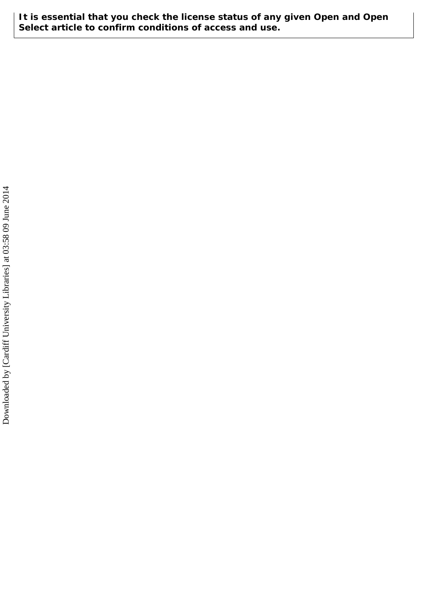**It is essential that you check the license status of any given Open and Open Select article to confirm conditions of access and use.**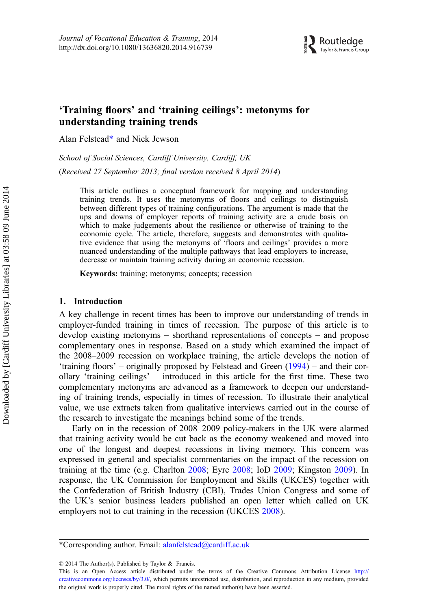

# 'Training floors' and 'training ceilings': metonyms for understanding training trends

Alan Felstead\* and Nick Jewson

School of Social Sciences, Cardiff University, Cardiff, UK

(Received 27 September 2013; final version received 8 April 2014)

This article outlines a conceptual framework for mapping and understanding training trends. It uses the metonyms of floors and ceilings to distinguish between different types of training configurations. The argument is made that the ups and downs of employer reports of training activity are a crude basis on which to make judgements about the resilience or otherwise of training to the economic cycle. The article, therefore, suggests and demonstrates with qualitative evidence that using the metonyms of 'floors and ceilings' provides a more nuanced understanding of the multiple pathways that lead employers to increase, decrease or maintain training activity during an economic recession.

Keywords: training; metonyms; concepts; recession

# 1. Introduction

A key challenge in recent times has been to improve our understanding of trends in employer-funded training in times of recession. The purpose of this article is to develop existing metonyms – shorthand representations of concepts – and propose complementary ones in response. Based on a study which examined the impact of the 2008–2009 recession on workplace training, the article develops the notion of 'training floors' – originally proposed by Felstead and Green [\(1994](#page-16-0)) – and their corollary 'training ceilings' – introduced in this article for the first time. These two complementary metonyms are advanced as a framework to deepen our understanding of training trends, especially in times of recession. To illustrate their analytical value, we use extracts taken from qualitative interviews carried out in the course of the research to investigate the meanings behind some of the trends.

Early on in the recession of 2008–2009 policy-makers in the UK were alarmed that training activity would be cut back as the economy weakened and moved into one of the longest and deepest recessions in living memory. This concern was expressed in general and specialist commentaries on the impact of the recession on training at the time (e.g. Charlton [2008;](#page-16-0) Eyre [2008](#page-16-0); IoD [2009;](#page-16-0) Kingston [2009\)](#page-16-0). In response, the UK Commission for Employment and Skills (UKCES) together with the Confederation of British Industry (CBI), Trades Union Congress and some of the UK's senior business leaders published an open letter which called on UK employers not to cut training in the recession (UKCES [2008\)](#page-16-0).

© 2014 The Author(s). Published by Taylor & Francis.

This is an Open Access article distributed under the terms of the Creative Commons Attribution License [http://](http://creativecommons.org/licenses/by/3.0/) [creativecommons.org/licenses/by/3.0/,](http://creativecommons.org/licenses/by/3.0/) which permits unrestricted use, distribution, and reproduction in any medium, provided the original work is properly cited. The moral rights of the named author(s) have been asserted.

<sup>\*</sup>Corresponding author. Email: [alanfelstead@cardiff.ac.uk](mailto:alanfelstead@cardiff.ac.uk)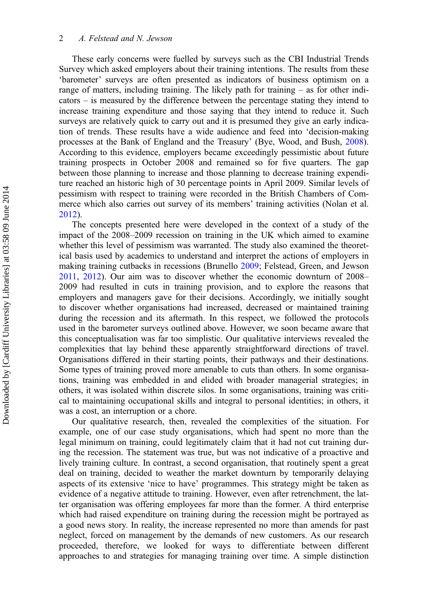These early concerns were fuelled by surveys such as the CBI Industrial Trends Survey which asked employers about their training intentions. The results from these 'barometer' surveys are often presented as indicators of business optimism on a range of matters, including training. The likely path for training – as for other indicators – is measured by the difference between the percentage stating they intend to increase training expenditure and those saying that they intend to reduce it. Such surveys are relatively quick to carry out and it is presumed they give an early indication of trends. These results have a wide audience and feed into 'decision-making processes at the Bank of England and the Treasury' (Bye, Wood, and Bush, [2008](#page-16-0)). According to this evidence, employers became exceedingly pessimistic about future training prospects in October 2008 and remained so for five quarters. The gap between those planning to increase and those planning to decrease training expenditure reached an historic high of 30 percentage points in April 2009. Similar levels of pessimism with respect to training were recorded in the British Chambers of Commerce which also carries out survey of its members' training activities (Nolan et al. [2012\)](#page-16-0).

The concepts presented here were developed in the context of a study of the impact of the 2008–2009 recession on training in the UK which aimed to examine whether this level of pessimism was warranted. The study also examined the theoretical basis used by academics to understand and interpret the actions of employers in making training cutbacks in recessions (Brunello [2009;](#page-16-0) Felstead, Green, and Jewson [2011,](#page-16-0) [2012\)](#page-16-0). Our aim was to discover whether the economic downturn of 2008– 2009 had resulted in cuts in training provision, and to explore the reasons that employers and managers gave for their decisions. Accordingly, we initially sought to discover whether organisations had increased, decreased or maintained training during the recession and its aftermath. In this respect, we followed the protocols used in the barometer surveys outlined above. However, we soon became aware that this conceptualisation was far too simplistic. Our qualitative interviews revealed the complexities that lay behind these apparently straightforward directions of travel. Organisations differed in their starting points, their pathways and their destinations. Some types of training proved more amenable to cuts than others. In some organisations, training was embedded in and elided with broader managerial strategies; in others, it was isolated within discrete silos. In some organisations, training was critical to maintaining occupational skills and integral to personal identities; in others, it was a cost, an interruption or a chore.

Our qualitative research, then, revealed the complexities of the situation. For example, one of our case study organisations, which had spent no more than the legal minimum on training, could legitimately claim that it had not cut training during the recession. The statement was true, but was not indicative of a proactive and lively training culture. In contrast, a second organisation, that routinely spent a great deal on training, decided to weather the market downturn by temporarily delaying aspects of its extensive 'nice to have' programmes. This strategy might be taken as evidence of a negative attitude to training. However, even after retrenchment, the latter organisation was offering employees far more than the former. A third enterprise which had raised expenditure on training during the recession might be portrayed as a good news story. In reality, the increase represented no more than amends for past neglect, forced on management by the demands of new customers. As our research proceeded, therefore, we looked for ways to differentiate between different approaches to and strategies for managing training over time. A simple distinction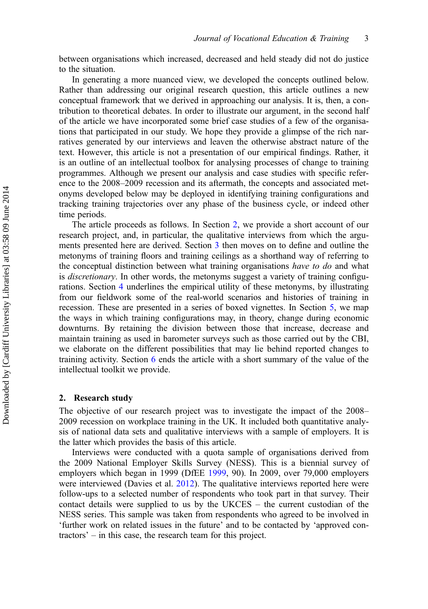between organisations which increased, decreased and held steady did not do justice to the situation.

In generating a more nuanced view, we developed the concepts outlined below. Rather than addressing our original research question, this article outlines a new conceptual framework that we derived in approaching our analysis. It is, then, a contribution to theoretical debates. In order to illustrate our argument, in the second half of the article we have incorporated some brief case studies of a few of the organisations that participated in our study. We hope they provide a glimpse of the rich narratives generated by our interviews and leaven the otherwise abstract nature of the text. However, this article is not a presentation of our empirical findings. Rather, it is an outline of an intellectual toolbox for analysing processes of change to training programmes. Although we present our analysis and case studies with specific reference to the 2008–2009 recession and its aftermath, the concepts and associated metonyms developed below may be deployed in identifying training configurations and tracking training trajectories over any phase of the business cycle, or indeed other time periods.

The article proceeds as follows. In Section 2, we provide a short account of our research project, and, in particular, the qualitative interviews from which the arguments presented here are derived. Section [3](#page-5-0) then moves on to define and outline the metonyms of training floors and training ceilings as a shorthand way of referring to the conceptual distinction between what training organisations have to do and what is *discretionary*. In other words, the metonyms suggest a variety of training configurations. Section [4](#page-6-0) underlines the empirical utility of these metonyms, by illustrating from our fieldwork some of the real-world scenarios and histories of training in recession. These are presented in a series of boxed vignettes. In Section [5](#page-8-0), we map the ways in which training configurations may, in theory, change during economic downturns. By retaining the division between those that increase, decrease and maintain training as used in barometer surveys such as those carried out by the CBI, we elaborate on the different possibilities that may lie behind reported changes to training activity. Section [6](#page-14-0) ends the article with a short summary of the value of the intellectual toolkit we provide.

### 2. Research study

The objective of our research project was to investigate the impact of the 2008– 2009 recession on workplace training in the UK. It included both quantitative analysis of national data sets and qualitative interviews with a sample of employers. It is the latter which provides the basis of this article.

Interviews were conducted with a quota sample of organisations derived from the 2009 National Employer Skills Survey (NESS). This is a biennial survey of employers which began in 1999 (DfEE [1999,](#page-16-0) 90). In 2009, over 79,000 employers were interviewed (Davies et al. [2012](#page-16-0)). The qualitative interviews reported here were follow-ups to a selected number of respondents who took part in that survey. Their contact details were supplied to us by the UKCES – the current custodian of the NESS series. This sample was taken from respondents who agreed to be involved in 'further work on related issues in the future' and to be contacted by 'approved contractors' – in this case, the research team for this project.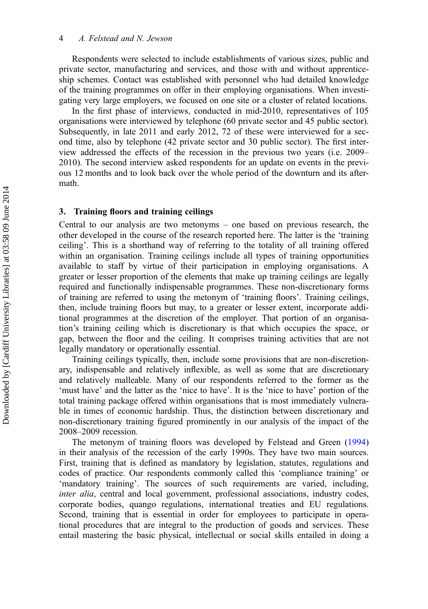<span id="page-5-0"></span>Respondents were selected to include establishments of various sizes, public and private sector, manufacturing and services, and those with and without apprenticeship schemes. Contact was established with personnel who had detailed knowledge of the training programmes on offer in their employing organisations. When investigating very large employers, we focused on one site or a cluster of related locations.

In the first phase of interviews, conducted in mid-2010, representatives of 105 organisations were interviewed by telephone (60 private sector and 45 public sector). Subsequently, in late 2011 and early 2012, 72 of these were interviewed for a second time, also by telephone (42 private sector and 30 public sector). The first interview addressed the effects of the recession in the previous two years (i.e. 2009– 2010). The second interview asked respondents for an update on events in the previous 12 months and to look back over the whole period of the downturn and its aftermath.

#### 3. Training floors and training ceilings

Central to our analysis are two metonyms – one based on previous research, the other developed in the course of the research reported here. The latter is the 'training ceiling'. This is a shorthand way of referring to the totality of all training offered within an organisation. Training ceilings include all types of training opportunities available to staff by virtue of their participation in employing organisations. A greater or lesser proportion of the elements that make up training ceilings are legally required and functionally indispensable programmes. These non-discretionary forms of training are referred to using the metonym of 'training floors'. Training ceilings, then, include training floors but may, to a greater or lesser extent, incorporate additional programmes at the discretion of the employer. That portion of an organisation's training ceiling which is discretionary is that which occupies the space, or gap, between the floor and the ceiling. It comprises training activities that are not legally mandatory or operationally essential.

Training ceilings typically, then, include some provisions that are non-discretionary, indispensable and relatively inflexible, as well as some that are discretionary and relatively malleable. Many of our respondents referred to the former as the 'must have' and the latter as the 'nice to have'. It is the 'nice to have' portion of the total training package offered within organisations that is most immediately vulnerable in times of economic hardship. Thus, the distinction between discretionary and non-discretionary training figured prominently in our analysis of the impact of the 2008–2009 recession.

The metonym of training floors was developed by Felstead and Green ([1994\)](#page-16-0) in their analysis of the recession of the early 1990s. They have two main sources. First, training that is defined as mandatory by legislation, statutes, regulations and codes of practice. Our respondents commonly called this 'compliance training' or 'mandatory training'. The sources of such requirements are varied, including, inter alia, central and local government, professional associations, industry codes, corporate bodies, quango regulations, international treaties and EU regulations. Second, training that is essential in order for employees to participate in operational procedures that are integral to the production of goods and services. These entail mastering the basic physical, intellectual or social skills entailed in doing a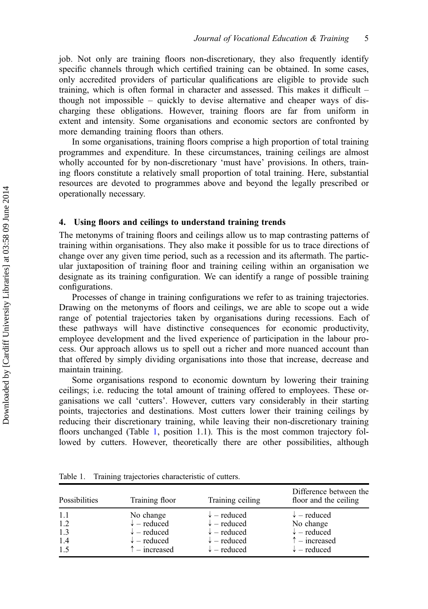<span id="page-6-0"></span>job. Not only are training floors non-discretionary, they also frequently identify specific channels through which certified training can be obtained. In some cases, only accredited providers of particular qualifications are eligible to provide such training, which is often formal in character and assessed. This makes it difficult – though not impossible – quickly to devise alternative and cheaper ways of discharging these obligations. However, training floors are far from uniform in extent and intensity. Some organisations and economic sectors are confronted by more demanding training floors than others.

In some organisations, training floors comprise a high proportion of total training programmes and expenditure. In these circumstances, training ceilings are almost wholly accounted for by non-discretionary 'must have' provisions. In others, training floors constitute a relatively small proportion of total training. Here, substantial resources are devoted to programmes above and beyond the legally prescribed or operationally necessary.

## 4. Using floors and ceilings to understand training trends

The metonyms of training floors and ceilings allow us to map contrasting patterns of training within organisations. They also make it possible for us to trace directions of change over any given time period, such as a recession and its aftermath. The particular juxtaposition of training floor and training ceiling within an organisation we designate as its training configuration. We can identify a range of possible training configurations.

Processes of change in training configurations we refer to as training trajectories. Drawing on the metonyms of floors and ceilings, we are able to scope out a wide range of potential trajectories taken by organisations during recessions. Each of these pathways will have distinctive consequences for economic productivity, employee development and the lived experience of participation in the labour process. Our approach allows us to spell out a richer and more nuanced account than that offered by simply dividing organisations into those that increase, decrease and maintain training.

Some organisations respond to economic downturn by lowering their training ceilings; i.e. reducing the total amount of training offered to employees. These organisations we call 'cutters'. However, cutters vary considerably in their starting points, trajectories and destinations. Most cutters lower their training ceilings by reducing their discretionary training, while leaving their non-discretionary training floors unchanged (Table 1, position 1.1). This is the most common trajectory followed by cutters. However, theoretically there are other possibilities, although

Table 1. Training trajectories characteristic of cutters.

| Possibilities | Training floor         | Training ceiling       | Difference between the<br>floor and the ceiling |
|---------------|------------------------|------------------------|-------------------------------------------------|
| -1.1          | No change              | $\downarrow$ – reduced | $\downarrow$ – reduced                          |
| 1.2           | $\downarrow$ – reduced | $\downarrow$ – reduced | No change                                       |
| 1.3           | $\downarrow$ – reduced | $\downarrow$ – reduced | $\downarrow$ – reduced                          |
| 1.4           | $\downarrow$ – reduced | $\downarrow$ – reduced | $\uparrow$ – increased                          |
| 1.5           | $\uparrow$ – increased | $\downarrow$ – reduced | $\downarrow$ – reduced                          |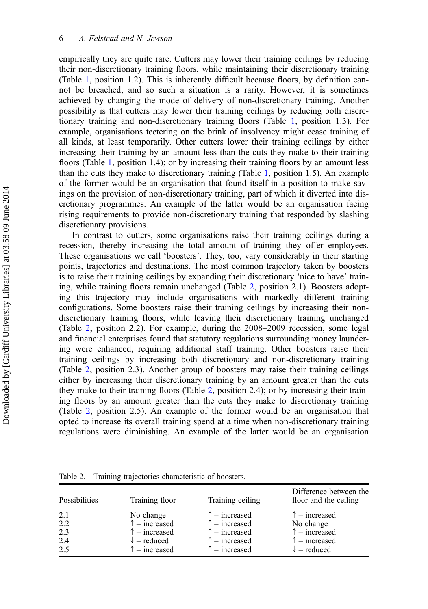empirically they are quite rare. Cutters may lower their training ceilings by reducing their non-discretionary training floors, while maintaining their discretionary training (Table [1](#page-6-0), position 1.2). This is inherently difficult because floors, by definition cannot be breached, and so such a situation is a rarity. However, it is sometimes achieved by changing the mode of delivery of non-discretionary training. Another possibility is that cutters may lower their training ceilings by reducing both discretionary training and non-discretionary training floors (Table [1](#page-6-0), position 1.3). For example, organisations teetering on the brink of insolvency might cease training of all kinds, at least temporarily. Other cutters lower their training ceilings by either increasing their training by an amount less than the cuts they make to their training floors (Table [1](#page-6-0), position 1.4); or by increasing their training floors by an amount less than the cuts they make to discretionary training (Table [1,](#page-6-0) position 1.5). An example of the former would be an organisation that found itself in a position to make savings on the provision of non-discretionary training, part of which it diverted into discretionary programmes. An example of the latter would be an organisation facing rising requirements to provide non-discretionary training that responded by slashing discretionary provisions.

In contrast to cutters, some organisations raise their training ceilings during a recession, thereby increasing the total amount of training they offer employees. These organisations we call 'boosters'. They, too, vary considerably in their starting points, trajectories and destinations. The most common trajectory taken by boosters is to raise their training ceilings by expanding their discretionary 'nice to have' training, while training floors remain unchanged (Table 2, position 2.1). Boosters adopting this trajectory may include organisations with markedly different training configurations. Some boosters raise their training ceilings by increasing their nondiscretionary training floors, while leaving their discretionary training unchanged (Table 2, position 2.2). For example, during the 2008–2009 recession, some legal and financial enterprises found that statutory regulations surrounding money laundering were enhanced, requiring additional staff training. Other boosters raise their training ceilings by increasing both discretionary and non-discretionary training (Table 2, position 2.3). Another group of boosters may raise their training ceilings either by increasing their discretionary training by an amount greater than the cuts they make to their training floors (Table 2, position 2.4); or by increasing their training floors by an amount greater than the cuts they make to discretionary training (Table 2, position 2.5). An example of the former would be an organisation that opted to increase its overall training spend at a time when non-discretionary training regulations were diminishing. An example of the latter would be an organisation

| Possibilities | Training floor         | Training ceiling       | Difference between the<br>floor and the ceiling |
|---------------|------------------------|------------------------|-------------------------------------------------|
| 2.1           | No change              | $\uparrow$ – increased | $\uparrow$ – increased                          |
| 2.2           | $\uparrow$ – increased | $\uparrow$ – increased | No change                                       |
| 2.3           | $\uparrow$ – increased | $\uparrow$ – increased | $\uparrow$ – increased                          |
| 2.4           | $\downarrow$ – reduced | $\uparrow$ – increased | $\uparrow$ – increased                          |
| 2.5           | $\uparrow$ – increased | $\uparrow$ – increased | $\downarrow$ – reduced                          |

Table 2. Training trajectories characteristic of boosters.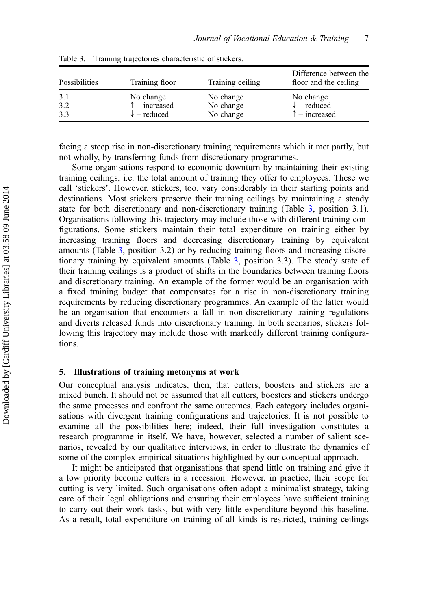| Possibilities | Training floor         | Training ceiling | Difference between the<br>floor and the ceiling |
|---------------|------------------------|------------------|-------------------------------------------------|
| 3.1           | No change              | No change        | No change                                       |
| 3.2           | $\uparrow$ – increased | No change        | $\downarrow$ – reduced                          |
| 3.3           | $\downarrow$ – reduced | No change        | $\uparrow$ – increased                          |

<span id="page-8-0"></span>Table 3. Training trajectories characteristic of stickers.

facing a steep rise in non-discretionary training requirements which it met partly, but not wholly, by transferring funds from discretionary programmes.

Some organisations respond to economic downturn by maintaining their existing training ceilings; i.e. the total amount of training they offer to employees. These we call 'stickers'. However, stickers, too, vary considerably in their starting points and destinations. Most stickers preserve their training ceilings by maintaining a steady state for both discretionary and non-discretionary training (Table 3, position 3.1). Organisations following this trajectory may include those with different training configurations. Some stickers maintain their total expenditure on training either by increasing training floors and decreasing discretionary training by equivalent amounts (Table 3, position 3.2) or by reducing training floors and increasing discretionary training by equivalent amounts (Table 3, position 3.3). The steady state of their training ceilings is a product of shifts in the boundaries between training floors and discretionary training. An example of the former would be an organisation with a fixed training budget that compensates for a rise in non-discretionary training requirements by reducing discretionary programmes. An example of the latter would be an organisation that encounters a fall in non-discretionary training regulations and diverts released funds into discretionary training. In both scenarios, stickers following this trajectory may include those with markedly different training configurations.

#### 5. Illustrations of training metonyms at work

Our conceptual analysis indicates, then, that cutters, boosters and stickers are a mixed bunch. It should not be assumed that all cutters, boosters and stickers undergo the same processes and confront the same outcomes. Each category includes organisations with divergent training configurations and trajectories. It is not possible to examine all the possibilities here; indeed, their full investigation constitutes a research programme in itself. We have, however, selected a number of salient scenarios, revealed by our qualitative interviews, in order to illustrate the dynamics of some of the complex empirical situations highlighted by our conceptual approach.

It might be anticipated that organisations that spend little on training and give it a low priority become cutters in a recession. However, in practice, their scope for cutting is very limited. Such organisations often adopt a minimalist strategy, taking care of their legal obligations and ensuring their employees have sufficient training to carry out their work tasks, but with very little expenditure beyond this baseline. As a result, total expenditure on training of all kinds is restricted, training ceilings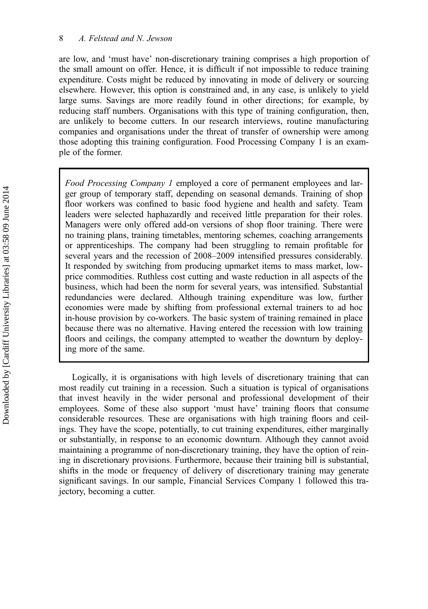are low, and 'must have' non-discretionary training comprises a high proportion of the small amount on offer. Hence, it is difficult if not impossible to reduce training expenditure. Costs might be reduced by innovating in mode of delivery or sourcing elsewhere. However, this option is constrained and, in any case, is unlikely to yield large sums. Savings are more readily found in other directions; for example, by reducing staff numbers. Organisations with this type of training configuration, then, are unlikely to become cutters. In our research interviews, routine manufacturing companies and organisations under the threat of transfer of ownership were among those adopting this training configuration. Food Processing Company 1 is an example of the former.

Food Processing Company 1 employed a core of permanent employees and larger group of temporary staff, depending on seasonal demands. Training of shop floor workers was confined to basic food hygiene and health and safety. Team leaders were selected haphazardly and received little preparation for their roles. Managers were only offered add-on versions of shop floor training. There were no training plans, training timetables, mentoring schemes, coaching arrangements or apprenticeships. The company had been struggling to remain profitable for several years and the recession of 2008–2009 intensified pressures considerably. It responded by switching from producing upmarket items to mass market, lowprice commodities. Ruthless cost cutting and waste reduction in all aspects of the business, which had been the norm for several years, was intensified. Substantial redundancies were declared. Although training expenditure was low, further economies were made by shifting from professional external trainers to ad hoc in-house provision by co-workers. The basic system of training remained in place because there was no alternative. Having entered the recession with low training floors and ceilings, the company attempted to weather the downturn by deploying more of the same.

Logically, it is organisations with high levels of discretionary training that can most readily cut training in a recession. Such a situation is typical of organisations that invest heavily in the wider personal and professional development of their employees. Some of these also support 'must have' training floors that consume considerable resources. These are organisations with high training floors and ceilings. They have the scope, potentially, to cut training expenditures, either marginally or substantially, in response to an economic downturn. Although they cannot avoid maintaining a programme of non-discretionary training, they have the option of reining in discretionary provisions. Furthermore, because their training bill is substantial, shifts in the mode or frequency of delivery of discretionary training may generate significant savings. In our sample, Financial Services Company 1 followed this trajectory, becoming a cutter.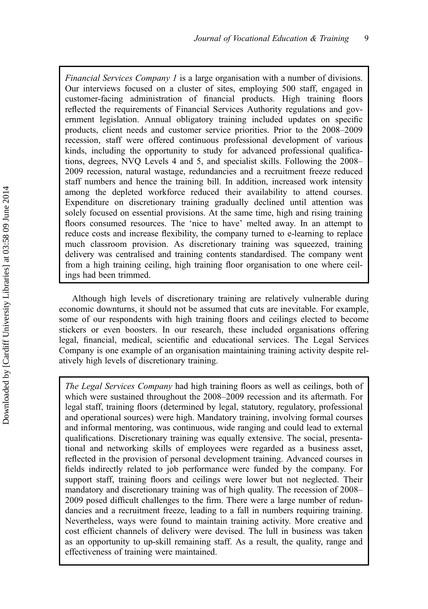Financial Services Company 1 is a large organisation with a number of divisions. Our interviews focused on a cluster of sites, employing 500 staff, engaged in customer-facing administration of financial products. High training floors reflected the requirements of Financial Services Authority regulations and government legislation. Annual obligatory training included updates on specific products, client needs and customer service priorities. Prior to the 2008–2009 recession, staff were offered continuous professional development of various kinds, including the opportunity to study for advanced professional qualifications, degrees, NVQ Levels 4 and 5, and specialist skills. Following the 2008– 2009 recession, natural wastage, redundancies and a recruitment freeze reduced staff numbers and hence the training bill. In addition, increased work intensity among the depleted workforce reduced their availability to attend courses. Expenditure on discretionary training gradually declined until attention was solely focused on essential provisions. At the same time, high and rising training floors consumed resources. The 'nice to have' melted away. In an attempt to reduce costs and increase flexibility, the company turned to e-learning to replace much classroom provision. As discretionary training was squeezed, training delivery was centralised and training contents standardised. The company went from a high training ceiling, high training floor organisation to one where ceilings had been trimmed.

Although high levels of discretionary training are relatively vulnerable during economic downturns, it should not be assumed that cuts are inevitable. For example, some of our respondents with high training floors and ceilings elected to become stickers or even boosters. In our research, these included organisations offering legal, financial, medical, scientific and educational services. The Legal Services Company is one example of an organisation maintaining training activity despite relatively high levels of discretionary training.

The Legal Services Company had high training floors as well as ceilings, both of which were sustained throughout the 2008–2009 recession and its aftermath. For legal staff, training floors (determined by legal, statutory, regulatory, professional and operational sources) were high. Mandatory training, involving formal courses and informal mentoring, was continuous, wide ranging and could lead to external qualifications. Discretionary training was equally extensive. The social, presentational and networking skills of employees were regarded as a business asset, reflected in the provision of personal development training. Advanced courses in fields indirectly related to job performance were funded by the company. For support staff, training floors and ceilings were lower but not neglected. Their mandatory and discretionary training was of high quality. The recession of 2008– 2009 posed difficult challenges to the firm. There were a large number of redundancies and a recruitment freeze, leading to a fall in numbers requiring training. Nevertheless, ways were found to maintain training activity. More creative and cost efficient channels of delivery were devised. The lull in business was taken as an opportunity to up-skill remaining staff. As a result, the quality, range and effectiveness of training were maintained.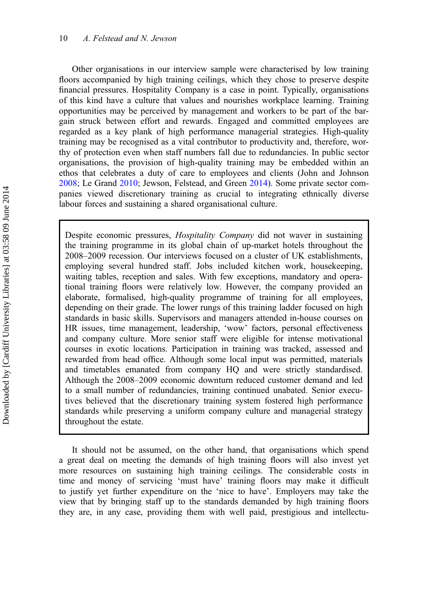Other organisations in our interview sample were characterised by low training floors accompanied by high training ceilings, which they chose to preserve despite financial pressures. Hospitality Company is a case in point. Typically, organisations of this kind have a culture that values and nourishes workplace learning. Training opportunities may be perceived by management and workers to be part of the bargain struck between effort and rewards. Engaged and committed employees are regarded as a key plank of high performance managerial strategies. High-quality training may be recognised as a vital contributor to productivity and, therefore, worthy of protection even when staff numbers fall due to redundancies. In public sector organisations, the provision of high-quality training may be embedded within an ethos that celebrates a duty of care to employees and clients (John and Johnson [2008;](#page-16-0) Le Grand [2010;](#page-16-0) Jewson, Felstead, and Green [2014\)](#page-16-0). Some private sector companies viewed discretionary training as crucial to integrating ethnically diverse labour forces and sustaining a shared organisational culture.

Despite economic pressures, Hospitality Company did not waver in sustaining the training programme in its global chain of up-market hotels throughout the 2008–2009 recession. Our interviews focused on a cluster of UK establishments, employing several hundred staff. Jobs included kitchen work, housekeeping, waiting tables, reception and sales. With few exceptions, mandatory and operational training floors were relatively low. However, the company provided an elaborate, formalised, high-quality programme of training for all employees, depending on their grade. The lower rungs of this training ladder focused on high standards in basic skills. Supervisors and managers attended in-house courses on HR issues, time management, leadership, 'wow' factors, personal effectiveness and company culture. More senior staff were eligible for intense motivational courses in exotic locations. Participation in training was tracked, assessed and rewarded from head office. Although some local input was permitted, materials and timetables emanated from company HQ and were strictly standardised. Although the 2008–2009 economic downturn reduced customer demand and led to a small number of redundancies, training continued unabated. Senior executives believed that the discretionary training system fostered high performance standards while preserving a uniform company culture and managerial strategy throughout the estate.

It should not be assumed, on the other hand, that organisations which spend a great deal on meeting the demands of high training floors will also invest yet more resources on sustaining high training ceilings. The considerable costs in time and money of servicing 'must have' training floors may make it difficult to justify yet further expenditure on the 'nice to have'. Employers may take the view that by bringing staff up to the standards demanded by high training floors they are, in any case, providing them with well paid, prestigious and intellectu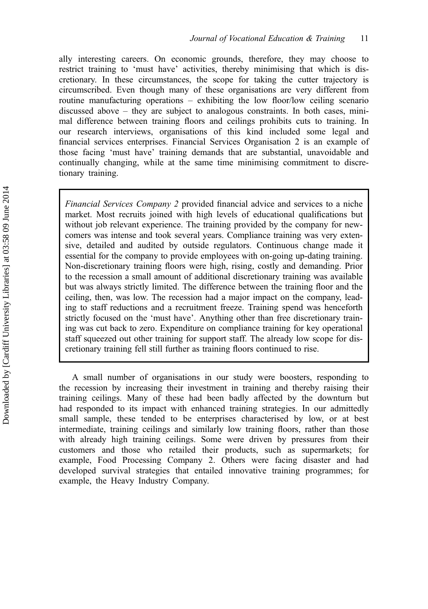ally interesting careers. On economic grounds, therefore, they may choose to restrict training to 'must have' activities, thereby minimising that which is discretionary. In these circumstances, the scope for taking the cutter trajectory is circumscribed. Even though many of these organisations are very different from routine manufacturing operations – exhibiting the low floor/low ceiling scenario discussed above – they are subject to analogous constraints. In both cases, minimal difference between training floors and ceilings prohibits cuts to training. In our research interviews, organisations of this kind included some legal and financial services enterprises. Financial Services Organisation 2 is an example of those facing 'must have' training demands that are substantial, unavoidable and continually changing, while at the same time minimising commitment to discretionary training.

Financial Services Company 2 provided financial advice and services to a niche market. Most recruits joined with high levels of educational qualifications but without job relevant experience. The training provided by the company for newcomers was intense and took several years. Compliance training was very extensive, detailed and audited by outside regulators. Continuous change made it essential for the company to provide employees with on-going up-dating training. Non-discretionary training floors were high, rising, costly and demanding. Prior to the recession a small amount of additional discretionary training was available but was always strictly limited. The difference between the training floor and the ceiling, then, was low. The recession had a major impact on the company, leading to staff reductions and a recruitment freeze. Training spend was henceforth strictly focused on the 'must have'. Anything other than free discretionary training was cut back to zero. Expenditure on compliance training for key operational staff squeezed out other training for support staff. The already low scope for discretionary training fell still further as training floors continued to rise.

A small number of organisations in our study were boosters, responding to the recession by increasing their investment in training and thereby raising their training ceilings. Many of these had been badly affected by the downturn but had responded to its impact with enhanced training strategies. In our admittedly small sample, these tended to be enterprises characterised by low, or at best intermediate, training ceilings and similarly low training floors, rather than those with already high training ceilings. Some were driven by pressures from their customers and those who retailed their products, such as supermarkets; for example, Food Processing Company 2. Others were facing disaster and had developed survival strategies that entailed innovative training programmes; for example, the Heavy Industry Company.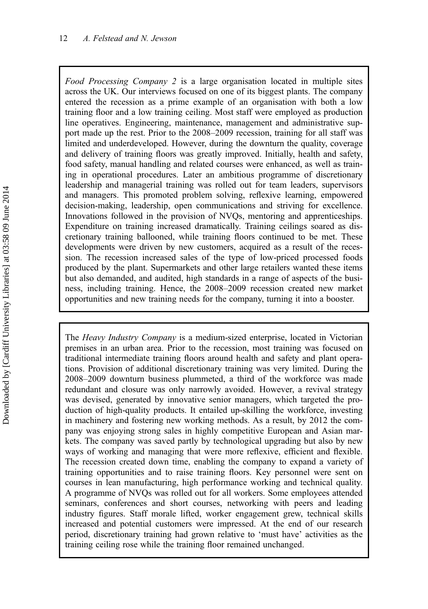Food Processing Company 2 is a large organisation located in multiple sites across the UK. Our interviews focused on one of its biggest plants. The company entered the recession as a prime example of an organisation with both a low training floor and a low training ceiling. Most staff were employed as production line operatives. Engineering, maintenance, management and administrative support made up the rest. Prior to the 2008–2009 recession, training for all staff was limited and underdeveloped. However, during the downturn the quality, coverage and delivery of training floors was greatly improved. Initially, health and safety, food safety, manual handling and related courses were enhanced, as well as training in operational procedures. Later an ambitious programme of discretionary leadership and managerial training was rolled out for team leaders, supervisors and managers. This promoted problem solving, reflexive learning, empowered decision-making, leadership, open communications and striving for excellence. Innovations followed in the provision of NVQs, mentoring and apprenticeships. Expenditure on training increased dramatically. Training ceilings soared as discretionary training ballooned, while training floors continued to be met. These developments were driven by new customers, acquired as a result of the recession. The recession increased sales of the type of low-priced processed foods produced by the plant. Supermarkets and other large retailers wanted these items but also demanded, and audited, high standards in a range of aspects of the business, including training. Hence, the 2008–2009 recession created new market opportunities and new training needs for the company, turning it into a booster.

The Heavy Industry Company is a medium-sized enterprise, located in Victorian premises in an urban area. Prior to the recession, most training was focused on traditional intermediate training floors around health and safety and plant operations. Provision of additional discretionary training was very limited. During the 2008–2009 downturn business plummeted, a third of the workforce was made redundant and closure was only narrowly avoided. However, a revival strategy was devised, generated by innovative senior managers, which targeted the production of high-quality products. It entailed up-skilling the workforce, investing in machinery and fostering new working methods. As a result, by 2012 the company was enjoying strong sales in highly competitive European and Asian markets. The company was saved partly by technological upgrading but also by new ways of working and managing that were more reflexive, efficient and flexible. The recession created down time, enabling the company to expand a variety of training opportunities and to raise training floors. Key personnel were sent on courses in lean manufacturing, high performance working and technical quality. A programme of NVQs was rolled out for all workers. Some employees attended seminars, conferences and short courses, networking with peers and leading industry figures. Staff morale lifted, worker engagement grew, technical skills increased and potential customers were impressed. At the end of our research period, discretionary training had grown relative to 'must have' activities as the training ceiling rose while the training floor remained unchanged.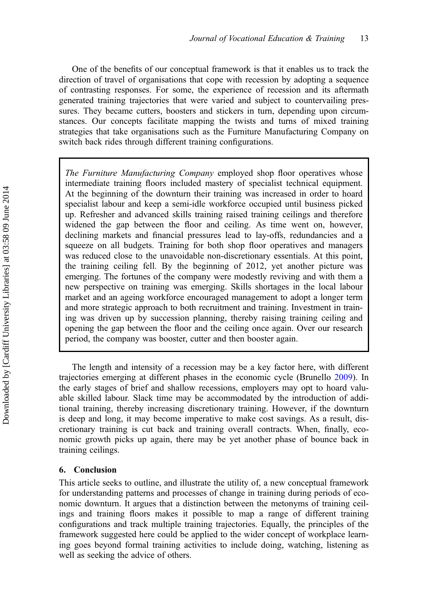<span id="page-14-0"></span>One of the benefits of our conceptual framework is that it enables us to track the direction of travel of organisations that cope with recession by adopting a sequence of contrasting responses. For some, the experience of recession and its aftermath generated training trajectories that were varied and subject to countervailing pressures. They became cutters, boosters and stickers in turn, depending upon circumstances. Our concepts facilitate mapping the twists and turns of mixed training strategies that take organisations such as the Furniture Manufacturing Company on switch back rides through different training configurations.

The Furniture Manufacturing Company employed shop floor operatives whose intermediate training floors included mastery of specialist technical equipment. At the beginning of the downturn their training was increased in order to hoard specialist labour and keep a semi-idle workforce occupied until business picked up. Refresher and advanced skills training raised training ceilings and therefore widened the gap between the floor and ceiling. As time went on, however, declining markets and financial pressures lead to lay-offs, redundancies and a squeeze on all budgets. Training for both shop floor operatives and managers was reduced close to the unavoidable non-discretionary essentials. At this point, the training ceiling fell. By the beginning of 2012, yet another picture was emerging. The fortunes of the company were modestly reviving and with them a new perspective on training was emerging. Skills shortages in the local labour market and an ageing workforce encouraged management to adopt a longer term and more strategic approach to both recruitment and training. Investment in training was driven up by succession planning, thereby raising training ceiling and opening the gap between the floor and the ceiling once again. Over our research period, the company was booster, cutter and then booster again.

The length and intensity of a recession may be a key factor here, with different trajectories emerging at different phases in the economic cycle (Brunello [2009\)](#page-16-0). In the early stages of brief and shallow recessions, employers may opt to hoard valuable skilled labour. Slack time may be accommodated by the introduction of additional training, thereby increasing discretionary training. However, if the downturn is deep and long, it may become imperative to make cost savings. As a result, discretionary training is cut back and training overall contracts. When, finally, economic growth picks up again, there may be yet another phase of bounce back in training ceilings.

## 6. Conclusion

This article seeks to outline, and illustrate the utility of, a new conceptual framework for understanding patterns and processes of change in training during periods of economic downturn. It argues that a distinction between the metonyms of training ceilings and training floors makes it possible to map a range of different training configurations and track multiple training trajectories. Equally, the principles of the framework suggested here could be applied to the wider concept of workplace learning goes beyond formal training activities to include doing, watching, listening as well as seeking the advice of others.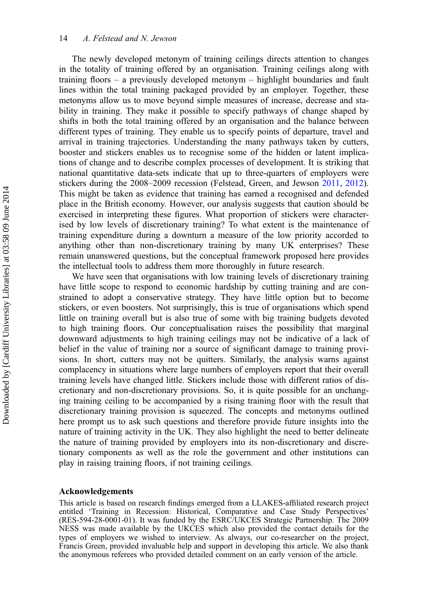The newly developed metonym of training ceilings directs attention to changes in the totality of training offered by an organisation. Training ceilings along with training floors – a previously developed metonym – highlight boundaries and fault lines within the total training packaged provided by an employer. Together, these metonyms allow us to move beyond simple measures of increase, decrease and stability in training. They make it possible to specify pathways of change shaped by shifts in both the total training offered by an organisation and the balance between different types of training. They enable us to specify points of departure, travel and arrival in training trajectories. Understanding the many pathways taken by cutters, booster and stickers enables us to recognise some of the hidden or latent implications of change and to describe complex processes of development. It is striking that national quantitative data-sets indicate that up to three-quarters of employers were stickers during the 2008–2009 recession (Felstead, Green, and Jewson [2011](#page-16-0), [2012](#page-16-0)). This might be taken as evidence that training has earned a recognised and defended place in the British economy. However, our analysis suggests that caution should be exercised in interpreting these figures. What proportion of stickers were characterised by low levels of discretionary training? To what extent is the maintenance of training expenditure during a downturn a measure of the low priority accorded to anything other than non-discretionary training by many UK enterprises? These remain unanswered questions, but the conceptual framework proposed here provides the intellectual tools to address them more thoroughly in future research.

We have seen that organisations with low training levels of discretionary training have little scope to respond to economic hardship by cutting training and are constrained to adopt a conservative strategy. They have little option but to become stickers, or even boosters. Not surprisingly, this is true of organisations which spend little on training overall but is also true of some with big training budgets devoted to high training floors. Our conceptualisation raises the possibility that marginal downward adjustments to high training ceilings may not be indicative of a lack of belief in the value of training nor a source of significant damage to training provisions. In short, cutters may not be quitters. Similarly, the analysis warns against complacency in situations where large numbers of employers report that their overall training levels have changed little. Stickers include those with different ratios of discretionary and non-discretionary provisions. So, it is quite possible for an unchanging training ceiling to be accompanied by a rising training floor with the result that discretionary training provision is squeezed. The concepts and metonyms outlined here prompt us to ask such questions and therefore provide future insights into the nature of training activity in the UK. They also highlight the need to better delineate the nature of training provided by employers into its non-discretionary and discretionary components as well as the role the government and other institutions can play in raising training floors, if not training ceilings.

### Acknowledgements

This article is based on research findings emerged from a LLAKES-affiliated research project entitled 'Training in Recession: Historical, Comparative and Case Study Perspectives' (RES-594-28-0001-01). It was funded by the ESRC/UKCES Strategic Partnership. The 2009 NESS was made available by the UKCES which also provided the contact details for the types of employers we wished to interview. As always, our co-researcher on the project, Francis Green, provided invaluable help and support in developing this article. We also thank the anonymous referees who provided detailed comment on an early version of the article.